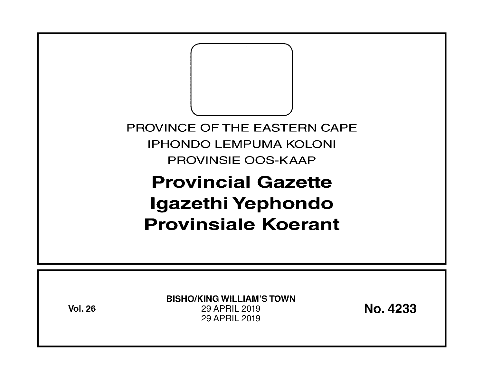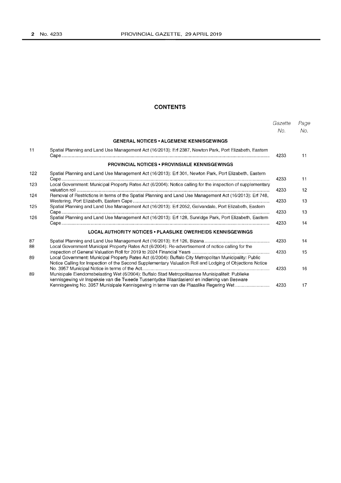#### **CONTENTS**

|     |                                                                                                                                                                                                 | Gazette<br>No. | Page<br>No. |
|-----|-------------------------------------------------------------------------------------------------------------------------------------------------------------------------------------------------|----------------|-------------|
|     | <b>GENERAL NOTICES • ALGEMENE KENNISGEWINGS</b>                                                                                                                                                 |                |             |
| 11  | Spatial Planning and Land Use Management Act (16/2013): Erf 2387, Newton Park, Port Elizabeth, Eastern                                                                                          | 4233           | 11          |
|     | <b>PROVINCIAL NOTICES • PROVINSIALE KENNISGEWINGS</b>                                                                                                                                           |                |             |
| 122 | Spatial Planning and Land Use Management Act (16/2013): Erf 301, Newton Park, Port Elizabeth, Eastern                                                                                           | 4233           | 11          |
| 123 | Local Government: Municipal Property Rates Act (6/2004): Notice calling for the inspection of supplementary                                                                                     |                |             |
| 124 | Removal of Restrictions in terms of the Spatial Planning and Land Use Management Act (16/2013): Erf 748,                                                                                        | 4233           | 12          |
|     |                                                                                                                                                                                                 | 4233           | 13          |
| 125 | Spatial Planning and Land Use Management Act (16/2013): Erf 2052, Gelvandale, Port Elizabeth, Eastern                                                                                           | 4233           | 13          |
| 126 | Spatial Planning and Land Use Management Act (16/2013): Erf 128, Sunridge Park, Port Elizabeth, Eastern                                                                                         |                |             |
|     |                                                                                                                                                                                                 | 4233           | 14          |
|     | <b>LOCAL AUTHORITY NOTICES • PLAASLIKE OWERHEIDS KENNISGEWINGS</b>                                                                                                                              |                |             |
| 87  |                                                                                                                                                                                                 | 4233           | 14          |
| 88  | Local Government Municipal Property Rates Act (6/2004): Re-advertisement of notice calling for the                                                                                              |                |             |
| 89  | Local Government: Municipal Property Rates Act (6/2004): Buffalo City Metropolitan Municipality: Public                                                                                         | 4233           | 15          |
|     | Notice Calling for Inspection of the Second Supplementary Valuation Roll and Lodging of Objections Notice                                                                                       |                |             |
|     |                                                                                                                                                                                                 | 4233           | 16          |
| 89  | Munisipale Eiendomsbelasting Wet (6/2004): Buffalo Stad Metropolitaanse Munisipaliteit: Publieke<br>kennisgewing vir Inspeksie van die Tweede Tussentydse Waardasierol en indiening van Besware |                |             |
|     | Kennisgewing No. 3957 Munisipale Kennisgewing in terme van die Plaaslike Regering Wet                                                                                                           | 4233           | 17          |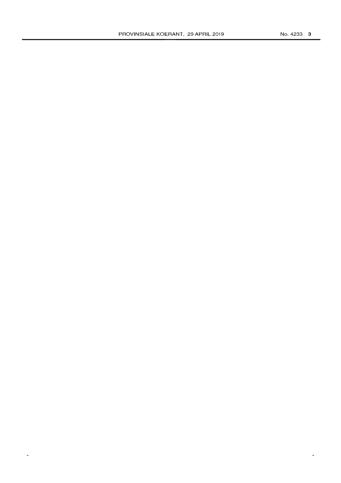$\bar{\mathbf{z}}$ 

 $\tilde{\phantom{a}}$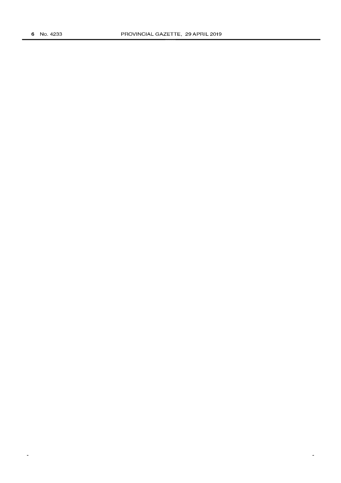$\Box$ 

 $\tilde{\phantom{a}}$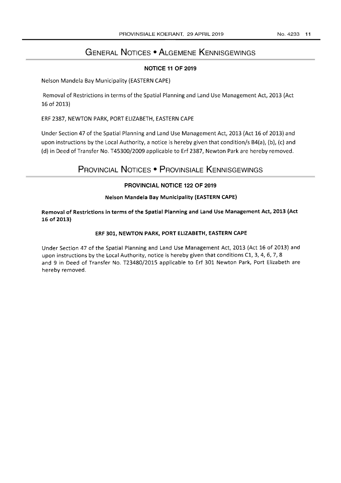# GENERAL NOTICES • ALGEMENE KENNISGEWINGS

#### NOTICE 11 OF 2019

Nelson Mandela Bay Municipality (EASTERN CAPE)

Removal of Restrictions in terms of the Spatial Planning and Land Use Management Act, 2013 (Act 16 of 2013)

#### ERF 2387, NEWTON PARK, PORT ELIZABETH, EASTERN CAPE

Under Section 47 of the Spatial Planning and Land Use Management Act, 2013 (Act 16 of 2013) and upon instructions by the Local Authority, a notice is hereby given that condition/s B4(a), (b), (c) and (d) in Deed of Transfer No. T45300/2009 applicable to Erf 2387, Newton Park are hereby removed.

# PROVINCIAL NOTICES • PROVINSIALE KENNISGEWINGS

#### PROVINCIAL NOTICE 122 OF 2019

#### Nelson Mandela Bay Municipality (EASTERN CAPE)

#### Removal of Restrictions in terms of the Spatial Planning and Land Use Management Act, 2013 (Act 16 of 2013)

#### ERF 301, NEWTON PARK, PORT ELIZABETH, EASTERN CAPE

Under Section 47 of the Spatial Planning and Land Use Management Act, 2013 (Act 16 of 2013) and upon instructions by the Local Authority, notice is hereby given that conditions C1, 3, 4, 6, 7, 8 and 9 in Deed of Transfer No. T23480/2015 applicable to Erf 301 Newton Park, Port Elizabeth are hereby removed.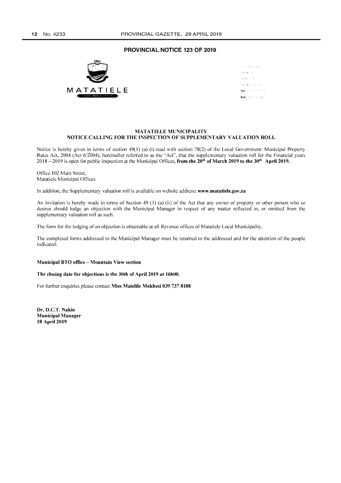#### PROVINCIAL NOTICE 123 OF 2019



| TOP PROFITME       |
|--------------------|
| 1500101-10         |
| <b>子倉 我 V 30</b>   |
| NOON CALL - 30     |
| Tel: 35 - 112.5115 |
| Fax: John 27-263   |

#### MATATIELE MUNICIPALITY NOTICE CALLING FOR THE INSPECTION OF SUPPLEMENTARY VALUATION ROLL

Notice is hereby given in terms of section 49(1) (a) (i) read with section 78(2) of the Local Government: Municipal Property Rates Act, 2004 (Act 6/2004), hereinafter referred to as the "Act", that the supplementary valuation roll for the Financial years  $2018 - 2019$  is open for public inspection at the Municipal Offices, from the 20<sup>th</sup> of March 2019 to the 30<sup>th</sup> April 2019.

Office 102 Main Street, Matatiele Municipal Offices

In addition, the Supplementary valuation roll is available on website address: www.matatiele.gov.za

An invitation is hereby made in terms of Section 49 (I) (a) (ii) of the Act that any owner of property or other person who so desires should lodge an objection with the Municipal Manager in respect of any matter reflected in, or omitted from the supplementary valuation roll as such.

The form for the lodging of an objection is obtainable at all Revenue offices of Matatiele Local Municipality.

The completed forms addressed to the Municipal Manager must be returned to the addressed and for the attention of the people indicated:

Municipal BTO office - Mountain View section

The closing date for objections is the 30th of April 2019 at 16hOO.

For further enquiries please contact Miss Matelile Mokhesi 039 737 8188

Dr, D.C.T. Nakin Municipal Manager 18 April 2019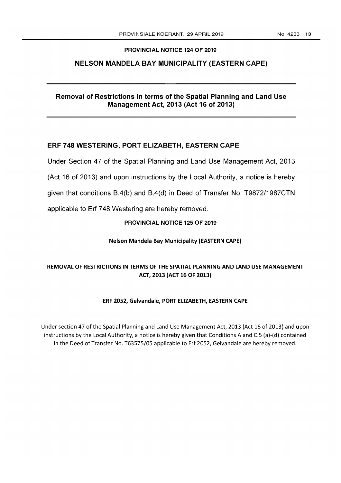#### PROVINCIAL NOTICE 124 OF 2019

## NELSON MANDELA BAY MUNICIPALITY (EASTERN CAPE)

## Removal of Restrictions in terms of the Spatial Planning and Land Use Management Act, 2013 (Act 16 of 2013)

## ERF 748 WESTERING, PORT ELIZABETH, EASTERN CAPE

Under Section 47 of the Spatial Planning and Land Use Management Act, 2013

(Act 16 of 2013) and upon instructions by the Local Authority, a notice is hereby

given that conditions B.4(b) and B.4(d) in Deed of Transfer No. T9872/1987CTN

applicable to Erf 748 Westering are hereby removed.

### PROVINCIAL NOTICE 125 OF 2019

#### Nelson Mandela Bay Municipality (EASTERN CAPE)

# REMOVAL OF RESTRICTIONS IN TERMS OF THE SPATIAL PLANNING AND LAND USE MANAGEMENT ACT, 2013 (ACT 16 OF 2013)

#### ERF 2052, Gelvandale, PORT ELIZABETH, EASTERN CAPE

Under section 47 of the Spatial Planning and Land Use Management Act, 2013 (Act 16 of 2013) and upon instructions by the Local Authority, a notice is hereby given that Conditions A and C.5 (a)-(d) contained in the Deed of Transfer No. T63575/05 applicable to Erf 2052, Gelvandale are hereby removed.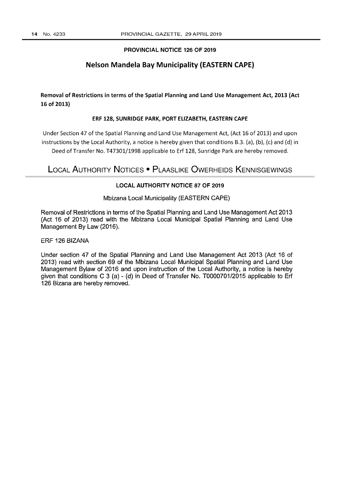#### PROVINCIAL NOTICE 126 OF 2019

# Nelson Mandela Bay Municipality (EASTERN CAPE)

Removal of Restrictions in terms of the Spatial Planning and Land Use Management Act, 2013 (Act 16 of 2013)

#### ERF 128, SUN RIDGE PARK, PORT ELIZABETH, EASTERN CAPE

Under Section 47 ofthe Spatial Planning and Land Use Management Act, (Act 16 of 2013) and upon instructions by the Local Authority, a notice is hereby given that conditions B.3. (a), (b), (c) and (d) in Deed of Transfer No. T47301/1998 applicable to Erf 128, Sunridge Park are hereby removed.

# LOCAL AUTHORITY NOTICES • PLAASLIKE OWERHEIDS KENNISGEWINGS

## LOCAL AUTHORITY NOTICE 87 OF 2019

#### Mbizana Local Municipality (EASTERN CAPE)

Removal of Restrictions in terms of the Spatial Planning and Land Use Management Act 2013 (Act 16 of 2013) read with the Mbizana Local Municipal Spatial Planning and Land Use Management By Law (2016).

#### ERF 126 BIZANA

Under section 47 of the Spatial Planning and Land Use Management Act 2013 (Act 16 of 2013) read with section 69 of the Mbizana Local Municipal Spatial Planning and Land Use Management Bylaw of 2016 and upon instruction of the Local Authority, a notice is hereby given that conditions C 3 (a) - (d) in Deed of Transfer No. *T0000701/2015* applicable to Erf 126 Bizana are hereby removed.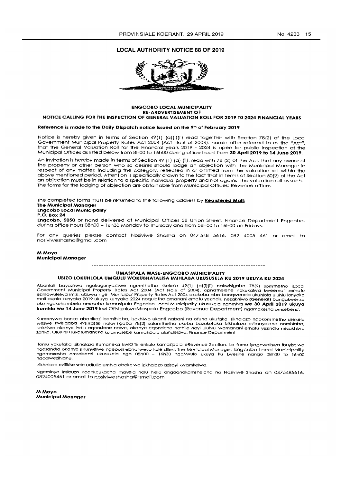#### **LOCAL AUTHORITY NOTICE 88 OF 2019**



#### **ENGCOBO LOCAL MUNICIPALITY RE-ARDVERTISEMENT OF NOTICE CALLING FOR THE INSPECTION OF GENERAL VALUATION ROLL FOR 2019 TO 2024 FINANCIAL YEARS**

#### **Reference is made to the Daily Dispatch notice Issued on the 9th of February 2019**

Notice is hereby given in terms of Section 49(1)  $\alpha$ (i)(ii) read together with Section 78(2) of the Local Government Municipal Property Rates Act 2004 (Act NO.6 of 2004), herein after referred to as the "Act", that the General Valuation Roll for the Financial years 2019 - 2024 is open for public inspection at the Municipal Offices as listed below from 8hOO to 1 6hOO during office hours from **30 April 2019 to 14 June 2019.** 

An invitation is hereby made in terms of Section 49 (1) (a) (ii), read with 78 (2) of the Act, that any owner of the property or other person who so desires should lodge an objection with the Municipal Manager in respect of any matter, including the category, reflected in or omitted from the valuation roll within the above mentioned period. Attention is specifically drawn to the fact that in terms of Section 50(2) of the Act an objection must be in relation to a specific individual property and not against the valuation roll as such. The forms for the lodging of objection are obtainable from Municipal Offices: Revenue offices

The completed forms must be returned to the following address by **Registered Mall: The Municipal Manager Engcobo Local Municipality**  P.O. **Box 24 Engcobo, 5050** or hand delivered at Municipal Offices 58 Union Street, Finance Department Engcobo, during office hours 08hOO - 1 6h30 Monday to Thursday and from 08hOO to 1 6hOO on Fridays.

For any queries please contact Nosiviwe Shasha on 047 548 5616, 082 4005 461 or email to nosiviweshasha@gmail.com

**MMoyo Municipal Manager** 

## **UMASIPALA WASE-ENGCOBO MUNICIPALITY**

#### **UBIZO LOKUHLOLA UMQULU WOKUBHATALISA IMIHLABA UKUSUSELA KU 2019 UKUY A KU 2024**

Abahlali bayaziswa ngokugunyaziswe ngumthetho sisekelo 49{1} {a}(i}(ii) nakwisigaba 78{2} somthetho iLocal<br>Government Municipal Property Rates Act 2004 (Act No.6 of 2004}, ophathelene nokukalwa kweemali zerhafu<br>ezihlawulel mali oqala kunyaka 2019 ukuya kunyaka 2024 noqulathe amanani erhafu yezindlu nezakhiwo **(General)** bangakwenza oku ngokuhambela amasebe kamasipala Engcobo Local Municipality ukusukela ngomhla **we 30 April 2019 ukuya kumhla we 14 June 2019** kwi Oflsi zakwaMaspala Engcobo (Revenue Department) ngamaxesha omsebenzi.

Kumenywa bonke abanikazi bemihlaba, izakhiwo ukanti nabani na ofuna ukufaka isikhalazo ngokomthetho sisekelo wezwe kwisigaba 49(i){a){ii) nakwisigaba 78(2) salomthetho ukuba bazokufaka izikhalazo ezimayelana nomhlaba,<br>isakhiwo okanye indlu eqondene nawe, okanye eqondene nothile hayi uluhlu lwamanani erhafu yezindlu nezakhiwo<br>zonk

Ifomu yokufaka isikhalazo ifumaneka kwiOfisi enkulu kamasipala eRevenue Section. Le fomu iyagcwaliswa ibuyiselwe ngesandla okanye ithunyelwe ngeposi ebhaliweyo kule dilesi: The Municipal Manager, Engcobo Local Municipality ngamaxesha omsebenzi ukusukela ngo 08hOO - 16h30 ngoMvulo ukuya ku Lwesine nango 08hOO to 16hOO ngoolwezihlanu.

Izikhalazo ezifikise sele udlulile umhla obekelwe izikhalazo azisayi kwamkelwa.

Ngeminye imibuzo neenkcukacha mayela nolu hlelo angaqhakamshelana no Nosiviwe Shasha on 0475485616, 0824005461 or email to nosiviweshasha@gmail.com

**MMoyo Municipal Manager**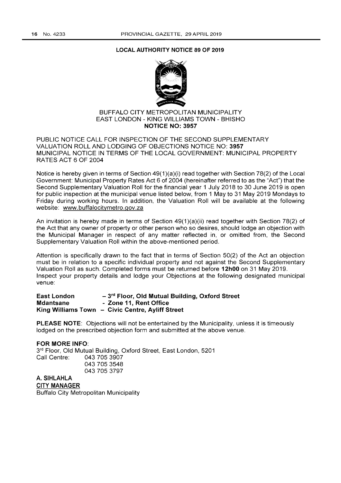#### LOCAL AUTHORITY NOTICE 89 OF 2019



#### BUFFALO CITY METROPOLITAN MUNICIPALITY EAST LONDON - KING WILLIAMS TOWN - BHISHO NOTICE NO: 3957

PUBLIC NOTICE CALL FOR INSPECTION OF THE SECOND SUPPLEMENTARY VALUATION ROLL AND LODGING OF OBJECTIONS NOTICE NO: 3957 MUNICIPAL NOTICE IN TERMS OF THE LOCAL GOVERNMENT: MUNICIPAL PROPERTY RATES ACT 6 OF 2004

Notice is hereby given in terms of Section 49(1)(a)(i) read together with Section 78(2) of the Local Government: Municipal Property Rates Act 6 of 2004 (hereinafter referred to as the "Act") that the Second Supplementary Valuation Roll for the financial year 1 July 2018 to 30 June 2019 is open for public inspection at the municipal venue listed below, from 1 May to 31 May 2019 Mondays to Friday during working hours. In addition, the Valuation Roll will be available at the following website: www.buffalocitymetro.gov.za

An invitation is hereby made in terms of Section 49(1)(a)(ii) read together with Section 78(2) of the Act that any owner of property or other person who so desires, should lodge an objection with the Municipal Manager in respect of any matter reflected in, or omitted from, the Second Supplementary Valuation Roll within the above-mentioned period.

Attention is specifically drawn to the fact that in terms of Section 50(2) of the Act an objection must be in relation to a specific individual property and not against the Second Supplementary Valuation Roll as such. Completed forms must be returned before 12hOO on 31 May 2019. Inspect your property details and lodge your Objections at the following designated municipal venue:

## East London  $-3^{rd}$  Floor, Old Mutual Building, Oxford Street Mdantsane - Zone 11, Rent Office King Williams Town - Civic Centre, Ayliff Street

PLEASE NOTE: Objections will not be entertained by the Municipality, unless it is timeously lodged on the prescribed objection form and submitted at the above venue.

#### FOR MORE INFO:

3<sup>rd</sup> Floor, Old Mutual Building, Oxford Street, East London, 5201 Call Centre: 043 705 3907 0437053548 0437053797

A. SIHLAHLA CITY MANAGER Buffalo City Metropolitan Municipality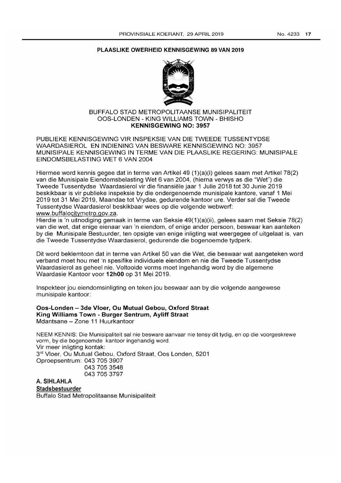#### PLAASLIKE OWERHEID KENNISGEWING 89 VAN 2019



#### BUFFALO STAD METROPOLITAANSE MUNISIPALITEIT OOS-LONDEN - KING WILLIAMS TOWN - BHISHO KENNISGEWING NO: 3957

PUBLIEKE KENNISGEWING VIR INSPEKSIE VAN DIE TWEEDE TUSSENTYDSE WAARDASIEROL EN INDIENING VAN BESWARE KENNISGEWING NO: 3957 MUNISIPALE KENNISGEWING IN TERME VAN DIE PLAASLIKE REGERING: MUNISIPALE EINDOMSBELASTING WET 6 VAN 2004

Hiermee word kennis gegee dat in terme van Artikel 49 (1 )(a)(i) gelees saam met Artikel 78(2) van die Munisipale Eiendomsbelasting Wet 6 van 2004, (hierna verwys as die "Wet") die Tweede Tussentydse Waardasierol vir die finansiele jaar 1 Julie 2018 tot 30 Junie 2019 beskikbaar is vir publieke inspeksie by die ondergenoemde munisipale kantore, vanaf 1 Mei 2019 tot 31 Mei 2019, Maandae tot Vrydae, gedurende kantoor ure. Verder sal die Tweede Tussentydse Waardasierol beskikbaar wees op die volgende webwerf: www.buffalocitymetro.gov.za.

Hierdie is 'n uitnodiging gemaak in terme van Seksie 49(1)(a)(ii), gelees saam met Seksie 78(2) van die wet, dat enige eienaar van 'n eiendom, of enige ander persoon, beswaar kan aanteken by die Munisipale Bestuurder, ten opsigte van enige inligting wat weergegee of uitgelaat is, van die Tweede Tussentydse Waardasierol, gedurende die bogenoemde tydperk.

Dit word beklemtoon dat in terme van Artikel 50 van die Wet, die beswaar wat aangeteken word verband moet hou met 'n spesifike individuele eiendom en nie die Tweede Tussentydse Waardasierol as geheel nie. Voltooide vorms moet ingehandig word by die algemene Waardasie Kantoor voor 12hOO op 31 Mei 2019.

Inspekteer jou eiendomsinligting en teken jou beswaar aan by die volgende aangewese munisipale kantoor:

#### Oos-Londen - 3de Vloer, Ou Mutual Gebou, Oxford Straat King Williams Town - Burger Sentrum, Ayliff Straat Mdantsane - Zone 11 Huurkantoor

NEEM KENNIS: Die Munisipaliteit sal nie besware aanvaar nie tensy dit tydig, en op die voorgeskrewe vorm, by die bogenoemde kantoor ingehandig word. Vir meer inligting kontak: 3rd Vloer, Ou Mutual Gebou, Oxford Straat, Oos Londen, 5201 Oproepsentrum: 0437053907 0437053548 0437053797

A. SIHLAHLA Stadsbestuurder Buffalo Stad Metropolitaanse Munisipaliteit